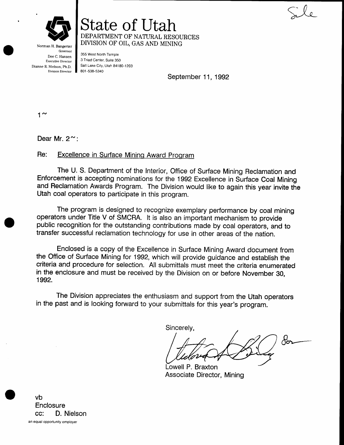

State of lJtah DEPARTMENT OF NATURAL RESOURCES DIVISION OF OIL, GAS AND MINING

Governor Dee C. Hansen Executive Director Dianne R. Nielson, Ph,D. Division Director

Norman H. Bangerter

355 West North Temple 3 Triad Center, Suite 350 salt Lake city, Urah 84180-1203 801 -538-5340

September 11, 1992

 $1^{\sim}$ 

Dear Mr.  $2^{\sim}$ :

## Re: Excellence in Surface Mining Award Proqram

The U. S. Department of the Interior, Office of Surface Mining Reclamation and Enforcement is accepting nominations for the 1992 Excellence in Surface Coal Mining and Reclamation Awards Program. The Division would like to again this year invite the Utah coal operators to participate in this program.

The program is designed to recognize exemplary performance by coal mining operators under Title V of SMCRA. lt is also an important mechanism to provide public recognition for the outstanding contributions made by coal operators, and to transfer successful reclamation technology for use in other areas of the nation.

Enclosed is a copy of the Excellence in Surface Mining Award document from the Office of Surface Mining for 1992, which will provide guidance and establish the criteria and procedure for selection. All submittals must meet the criteria enumerated in the enclosure and must be received by the Division on or before November 30, <sup>1</sup>992.

The Division appreciates the enthusiasm and support from the Utah operators in the past and is looking forward to your submittals for this year's program.

Sincerely,

 $\partial^2_{\boldsymbol{\sigma}}$ 

Lowell P. Braxton Associate Director, Mining

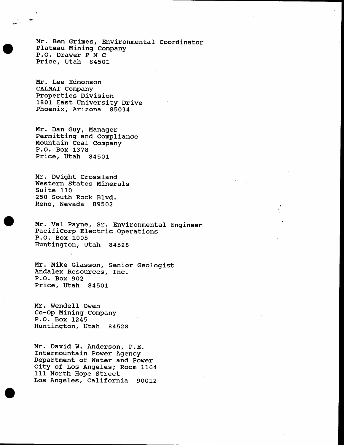Mr. Ben Grimes, Environmental Coordinator Plateau Mining Company P.O. Drawer P M C Price, Utah 84501

Mr. Lee Edmonson CALMAT Company Properties Division 1801 East University Drive Phoenix, Arizona 85034

Mr. Dan Guy, Manager Permitting and Compliance Mountain Coal Company<br>P.O. Box 1378 Price, Utah 84501

Mr. Dwight Crossland. Western States Minerals Suite <sup>130</sup> 250 South Rock Blvd. Reno, Nevada 89502

 $\epsilon$ 

Mr. Val Payne, Sr. Environmental Engineer<br>PacifiCorp Electric Operations<br>P.O. Box 1005<br>Huntington, Utah 84528

Mr. Mike Glasson, Senior Geologist Andalex Resources, Inc.<br>P.O. Box 902<br>Price, Utah 84501

Mr. Wendell Owen Co-Op Mining Company P.O. Box 1245 Huntington, Utah 84529

Mr. David W. Anderson, P.E.<br>Intermountain Power Agency Department of Water and power City of Los Angeles; Room 1164 111 North Hope Street Los Angeles, California 90012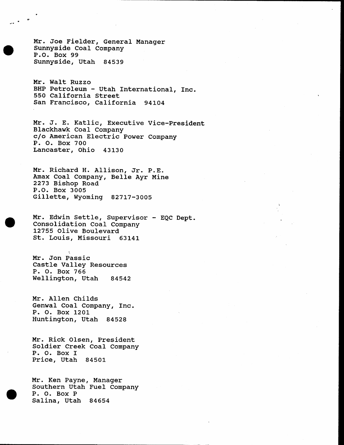Mr. Joe Fielder, General Manager Sunnyside CoaI Company P.O. Box 99 Sunnyside, Utah 84539

Mr. Walt Ruzzo BHP Petroleum - Utah International, Inc. 550 California Street San Francisco, California 941O4

Mr. J. E. Katlic, Executive Vice-President Blackhawk CoaI Company clo American Electric power Company P. O. Box 700 Lancaster, Ohio 4313O

Mr. Richard H. Allison, Jr. p.E. Amax Coal Company, Belle Ayr Mine 2273 Bishop Road Gillette, Wyoming 82717-3005

Mr. Edwin Settle, Supervisor - EQC Dept.<br>Consolidation Coal Company L2755 Olive Boulevard st. Louis, Missouri 6314i-

Mr. Jon Passic<br>Castle Valley Resources<br>P. O. Box 766<br>Wellington, Utah 84542

Mr. Al1en Childs Genwal CoaI Company, fnc. P. O. Box <sup>1201</sup> Huntington, Utah 84528

Mr. Rick O1sen, President Soldier Creek Coal Company P. O. Box <sup>f</sup> Price, Utah 84501

Mr. Ken Payne, Manager Southern Utah Fuel Company P. O. Box <sup>P</sup> Salina, Utah 84654